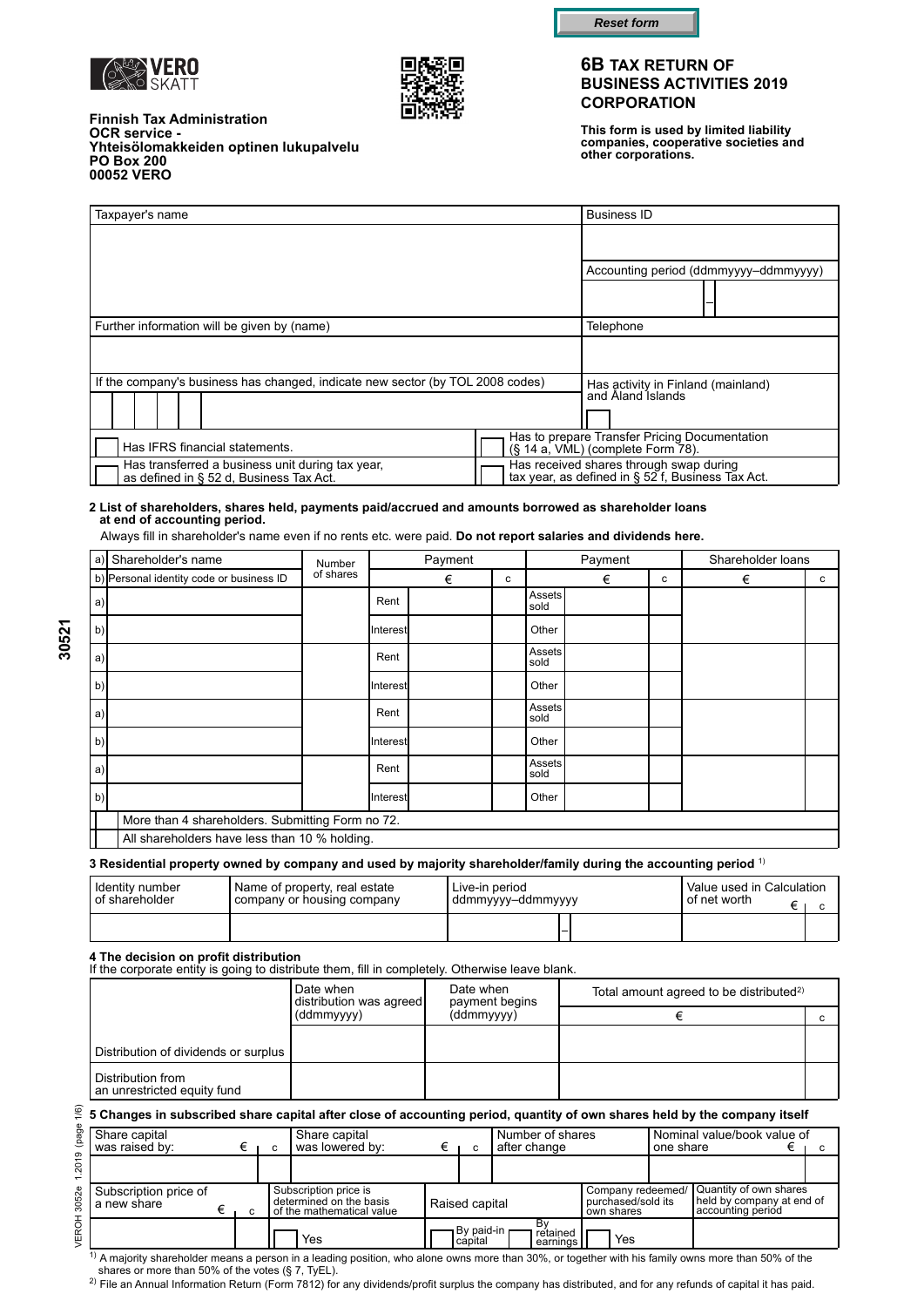





**This form is used by limited liability companies, cooperative societies and other corporations.**

| <b>Finnish Tax Administration</b>      |  |
|----------------------------------------|--|
| <b>OCR service -</b>                   |  |
|                                        |  |
| <b>PO Box 200</b>                      |  |
| 00052 VERO                             |  |
| Yhteisölomakkeiden optinen lukupalvelu |  |

| Taxpayer's name                                                                                                      |  | <b>Business ID</b>                                                                           |                                       |
|----------------------------------------------------------------------------------------------------------------------|--|----------------------------------------------------------------------------------------------|---------------------------------------|
|                                                                                                                      |  |                                                                                              |                                       |
|                                                                                                                      |  |                                                                                              | Accounting period (ddmmyyyy-ddmmyyyy) |
|                                                                                                                      |  |                                                                                              |                                       |
| Further information will be given by (name)                                                                          |  | Telephone                                                                                    |                                       |
|                                                                                                                      |  |                                                                                              |                                       |
| If the company's business has changed, indicate new sector (by TOL 2008 codes)                                       |  | Has activity in Finland (mainland)                                                           |                                       |
|                                                                                                                      |  | and Aland Islands                                                                            |                                       |
|                                                                                                                      |  |                                                                                              |                                       |
| Has to prepare Transfer Pricing Documentation<br>Has IFRS financial statements.<br>(§ 14 a, VML) (complete Form 78). |  |                                                                                              |                                       |
| Has transferred a business unit during tax year,<br>as defined in § 52 d, Business Tax Act.                          |  | Has received shares through swap during<br>tax year, as defined in § 52 f, Business Tax Act. |                                       |

#### **2 List of shareholders, shares held, payments paid/accrued and amounts borrowed as shareholder loans at end of accounting period.**

Always fill in shareholder's name even if no rents etc. were paid. **Do not report salaries and dividends here.**

| a)           | Shareholder's name                               | Number    |          | Payment |   |                       | Payment |   | Shareholder loans |   |
|--------------|--------------------------------------------------|-----------|----------|---------|---|-----------------------|---------|---|-------------------|---|
|              | b) Personal identity code or business ID         | of shares |          | €       | c |                       | €       | c | €                 | C |
| a)           |                                                  |           | Rent     |         |   | <b>Assets</b><br>sold |         |   |                   |   |
| <sub>b</sub> |                                                  |           | Interest |         |   | Other                 |         |   |                   |   |
| a)           |                                                  |           | Rent     |         |   | Assets<br>sold        |         |   |                   |   |
| <sub>b</sub> |                                                  |           | Interest |         |   | Other                 |         |   |                   |   |
| a)           |                                                  |           | Rent     |         |   | Assets<br>sold        |         |   |                   |   |
| <sub>b</sub> |                                                  |           | Interest |         |   | Other                 |         |   |                   |   |
| a)           |                                                  |           | Rent     |         |   | <b>Assets</b><br>sold |         |   |                   |   |
| <sub>b</sub> |                                                  |           | Interest |         |   | Other                 |         |   |                   |   |
|              | More than 4 shareholders. Submitting Form no 72. |           |          |         |   |                       |         |   |                   |   |
|              | All shareholders have less than 10 % holding.    |           |          |         |   |                       |         |   |                   |   |

#### **3 Residential property owned by company and used by majority shareholder/family during the accounting period** 1)

| <b>I</b> Identitv number | ' Name of property, real estate | Live-in period    | Value used in Calculation |  |
|--------------------------|---------------------------------|-------------------|---------------------------|--|
| <b>I</b> of shareholder  | company or housing company      | ddmmyyyy–ddmmyyyy | ' of net worth            |  |
|                          |                                 |                   |                           |  |

#### **4 The decision on profit distribution**

If the corporate entity is going to distribute them, fill in completely. Otherwise leave blank.

|                                                  | Date when<br>distribution was agreed<br>(ddmmyyyy) | Date when<br>payment begins | Total amount agreed to be distributed <sup>2)</sup> |  |
|--------------------------------------------------|----------------------------------------------------|-----------------------------|-----------------------------------------------------|--|
|                                                  |                                                    | (ddmmyyyy)                  |                                                     |  |
| Distribution of dividends or surplus             |                                                    |                             |                                                     |  |
| Distribution from<br>an unrestricted equity fund |                                                    |                             |                                                     |  |

## **5 Changes in subscribed share capital after close of accounting period, quantity of own shares held by the company itself**

| Share capital<br>was raised by:      |   | Share capital<br>was lowered by:                                              | c                       | Number of shares<br>after change |                                                       | one share | Nominal value/book value of                                              |  |
|--------------------------------------|---|-------------------------------------------------------------------------------|-------------------------|----------------------------------|-------------------------------------------------------|-----------|--------------------------------------------------------------------------|--|
|                                      |   |                                                                               |                         |                                  |                                                       |           |                                                                          |  |
| Subscription price of<br>a new share | C | Subscription price is<br>determined on the basis<br>of the mathematical value | Raised capital          |                                  | Company redeemed/<br>purchased/sold its<br>own shares |           | Quantity of own shares<br>held by company at end of<br>accounting period |  |
|                                      |   | Yes                                                                           | 1 By paid-in<br>capital | retained<br>earnings             | Yes                                                   |           |                                                                          |  |

VEROH 3052e 1.2019 (page 1/6)

/EROH 3052e 1.2019 (page

 $1)$  A majority shareholder means a person in a leading position, who alone owns more than 30%, or together with his family owns more than 50% of the shares or more than 50% of the votes (§ 7, TyEL).

2) File an Annual Information Return (Form 7812) for any dividends/profit surplus the company has distributed, and for any refunds of capital it has paid.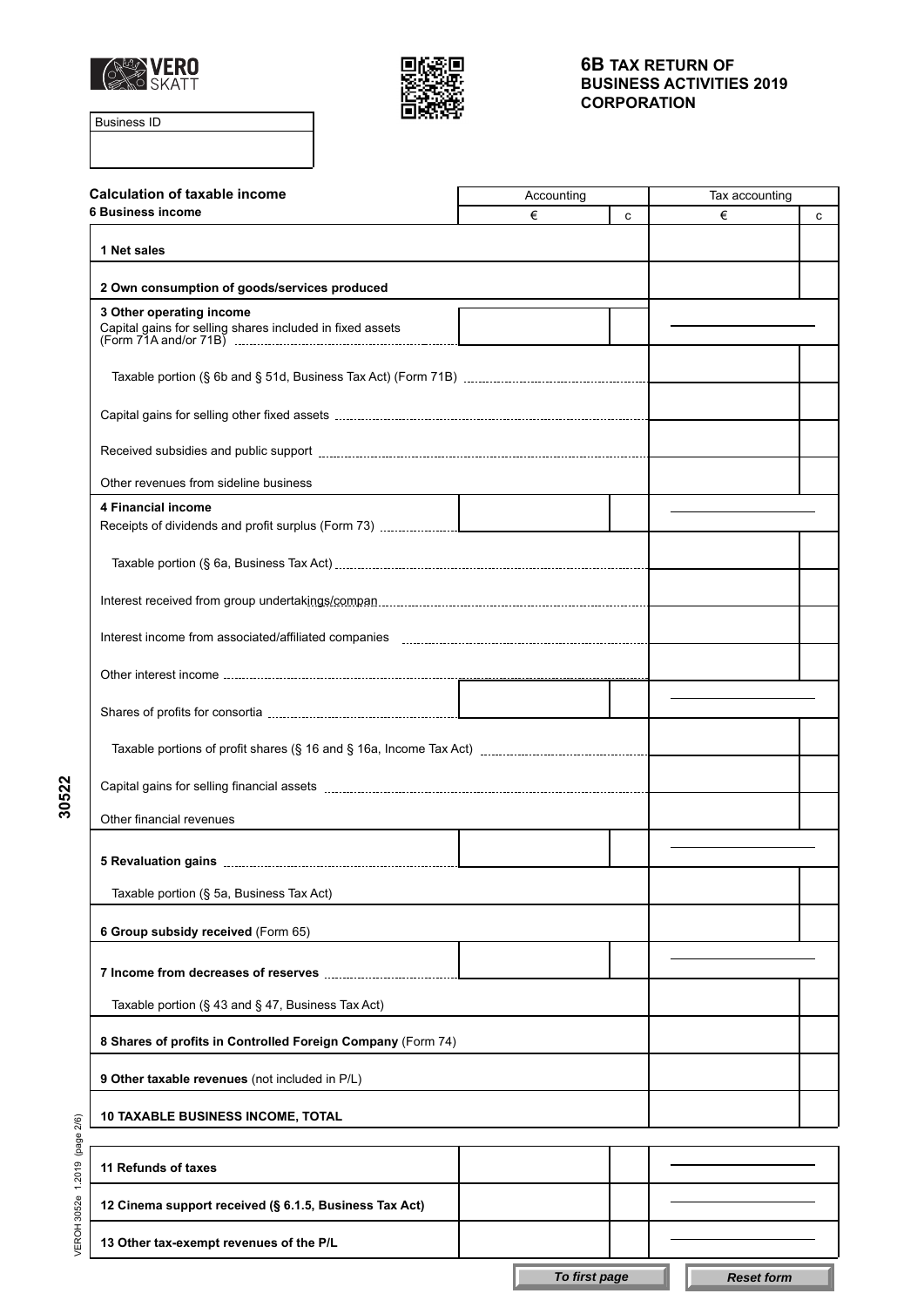



Business ID

| <b>Calculation of taxable income</b>                        | Accounting |   | Tax accounting |   |
|-------------------------------------------------------------|------------|---|----------------|---|
| <b>6 Business income</b>                                    | €          | c | €              | C |
| 1 Net sales                                                 |            |   |                |   |
| 2 Own consumption of goods/services produced                |            |   |                |   |
| 3 Other operating income                                    |            |   |                |   |
|                                                             |            |   |                |   |
|                                                             |            |   |                |   |
|                                                             |            |   |                |   |
|                                                             |            |   |                |   |
|                                                             |            |   |                |   |
| Other revenues from sideline business                       |            |   |                |   |
| 4 Financial income                                          |            |   |                |   |
|                                                             |            |   |                |   |
|                                                             |            |   |                |   |
|                                                             |            |   |                |   |
|                                                             |            |   |                |   |
|                                                             |            |   |                |   |
|                                                             |            |   |                |   |
|                                                             |            |   |                |   |
|                                                             |            |   |                |   |
|                                                             |            |   |                |   |
| Other financial revenues                                    |            |   |                |   |
|                                                             |            |   |                |   |
|                                                             |            |   |                |   |
| Taxable portion (§ 5a, Business Tax Act)                    |            |   |                |   |
| 6 Group subsidy received (Form 65)                          |            |   |                |   |
| 7 Income from decreases of reserves                         |            |   |                |   |
| Taxable portion (§ 43 and § 47, Business Tax Act)           |            |   |                |   |
| 8 Shares of profits in Controlled Foreign Company (Form 74) |            |   |                |   |
|                                                             |            |   |                |   |
| 9 Other taxable revenues (not included in P/L)              |            |   |                |   |
| <b>10 TAXABLE BUSINESS INCOME, TOTAL</b>                    |            |   |                |   |
|                                                             |            |   |                |   |
| 11 Refunds of taxes                                         |            |   |                |   |
| 12 Cinema support received (§ 6.1.5, Business Tax Act)      |            |   |                |   |
| 13 Other tax-exempt revenues of the P/L                     |            |   |                |   |

**30522**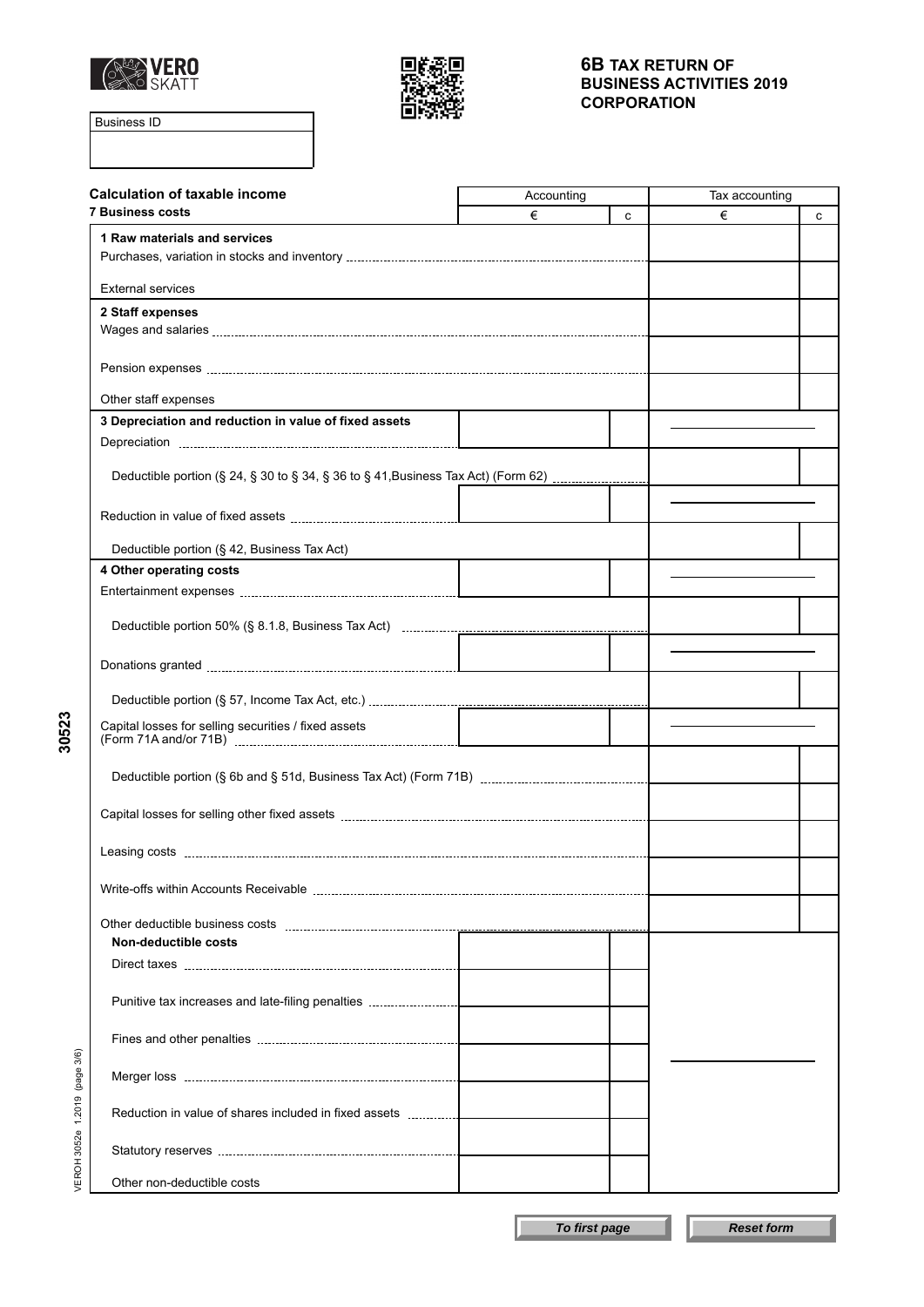



Business ID

**30523**

| <b>Calculation of taxable income</b>                                                                                                                                                                                                | Accounting |   | Tax accounting |   |
|-------------------------------------------------------------------------------------------------------------------------------------------------------------------------------------------------------------------------------------|------------|---|----------------|---|
| <b>7 Business costs</b>                                                                                                                                                                                                             | €          | C | €              | c |
| 1 Raw materials and services                                                                                                                                                                                                        |            |   |                |   |
| <b>External services</b>                                                                                                                                                                                                            |            |   |                |   |
| 2 Staff expenses                                                                                                                                                                                                                    |            |   |                |   |
|                                                                                                                                                                                                                                     |            |   |                |   |
|                                                                                                                                                                                                                                     |            |   |                |   |
| Other staff expenses                                                                                                                                                                                                                |            |   |                |   |
| 3 Depreciation and reduction in value of fixed assets                                                                                                                                                                               |            |   |                |   |
|                                                                                                                                                                                                                                     |            |   |                |   |
| Deductible portion (§ 24, § 30 to § 34, § 36 to § 41, Business Tax Act) (Form 62)                                                                                                                                                   |            |   |                |   |
|                                                                                                                                                                                                                                     |            |   |                |   |
| Reduction in value of fixed assets <b>Example 20</b> in the set of the set of the set of the set of the set of the set of the set of the set of the set of the set of the set of the set of the set of the set of the set of the se |            |   |                |   |
| Deductible portion (§ 42, Business Tax Act)                                                                                                                                                                                         |            |   |                |   |
| 4 Other operating costs                                                                                                                                                                                                             |            |   |                |   |
|                                                                                                                                                                                                                                     |            |   |                |   |
|                                                                                                                                                                                                                                     |            |   |                |   |
|                                                                                                                                                                                                                                     |            |   |                |   |
|                                                                                                                                                                                                                                     |            |   |                |   |
| Capital losses for selling securities / fixed assets                                                                                                                                                                                |            |   |                |   |
|                                                                                                                                                                                                                                     |            |   |                |   |
|                                                                                                                                                                                                                                     |            |   |                |   |
|                                                                                                                                                                                                                                     |            |   |                |   |
|                                                                                                                                                                                                                                     |            |   |                |   |
|                                                                                                                                                                                                                                     |            |   |                |   |
| Non-deductible costs                                                                                                                                                                                                                |            |   |                |   |
|                                                                                                                                                                                                                                     |            |   |                |   |
|                                                                                                                                                                                                                                     |            |   |                |   |
|                                                                                                                                                                                                                                     |            |   |                |   |
| (page 3/6)                                                                                                                                                                                                                          |            |   |                |   |
|                                                                                                                                                                                                                                     |            |   |                |   |
| VEROH 3052e 1.2019                                                                                                                                                                                                                  |            |   |                |   |
| Other non-deductible costs                                                                                                                                                                                                          |            |   |                |   |

**To first page Reset form**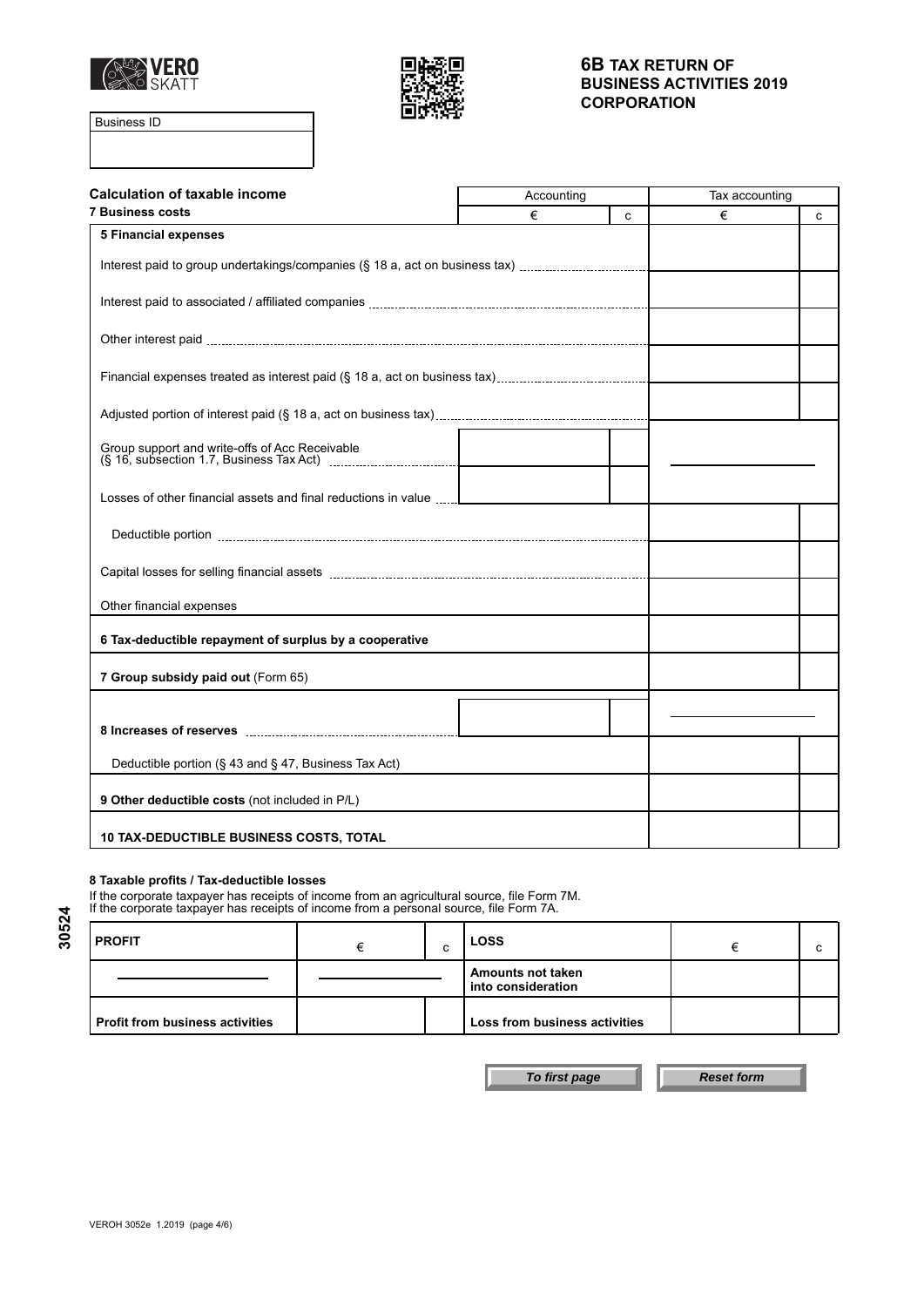



Business ID

| <b>Calculation of taxable income</b>                                        | Accounting |   | Tax accounting |   |
|-----------------------------------------------------------------------------|------------|---|----------------|---|
| <b>7 Business costs</b>                                                     | €          | C | €              | C |
| <b>5 Financial expenses</b>                                                 |            |   |                |   |
| Interest paid to group undertakings/companies (§ 18 a, act on business tax) |            |   |                |   |
|                                                                             |            |   |                |   |
|                                                                             |            |   |                |   |
|                                                                             |            |   |                |   |
|                                                                             |            |   |                |   |
|                                                                             |            |   |                |   |
|                                                                             |            |   |                |   |
|                                                                             |            |   |                |   |
|                                                                             |            |   |                |   |
| Losses of other financial assets and final reductions in value              |            |   |                |   |
|                                                                             |            |   |                |   |
|                                                                             |            |   |                |   |
| Other financial expenses                                                    |            |   |                |   |
| 6 Tax-deductible repayment of surplus by a cooperative                      |            |   |                |   |
| 7 Group subsidy paid out (Form 65)                                          |            |   |                |   |
|                                                                             |            |   |                |   |
|                                                                             |            |   |                |   |
| Deductible portion (§ 43 and § 47, Business Tax Act)                        |            |   |                |   |
| 9 Other deductible costs (not included in P/L)                              |            |   |                |   |
|                                                                             |            |   |                |   |
| <b>10 TAX-DEDUCTIBLE BUSINESS COSTS, TOTAL</b>                              |            |   |                |   |

#### **8 Taxable profits / Tax-deductible losses**

If the corporate taxpayer has receipts of income from an agricultural source, file Form 7M. If the corporate taxpayer has receipts of income from a personal source, file Form 7A.

| <b>PROFIT</b>                          | U | <b>LOSS</b>                                    |  |
|----------------------------------------|---|------------------------------------------------|--|
|                                        |   | <b>Amounts not taken</b><br>into consideration |  |
| <b>Profit from business activities</b> |   | Loss from business activities                  |  |

**To first page Reset form**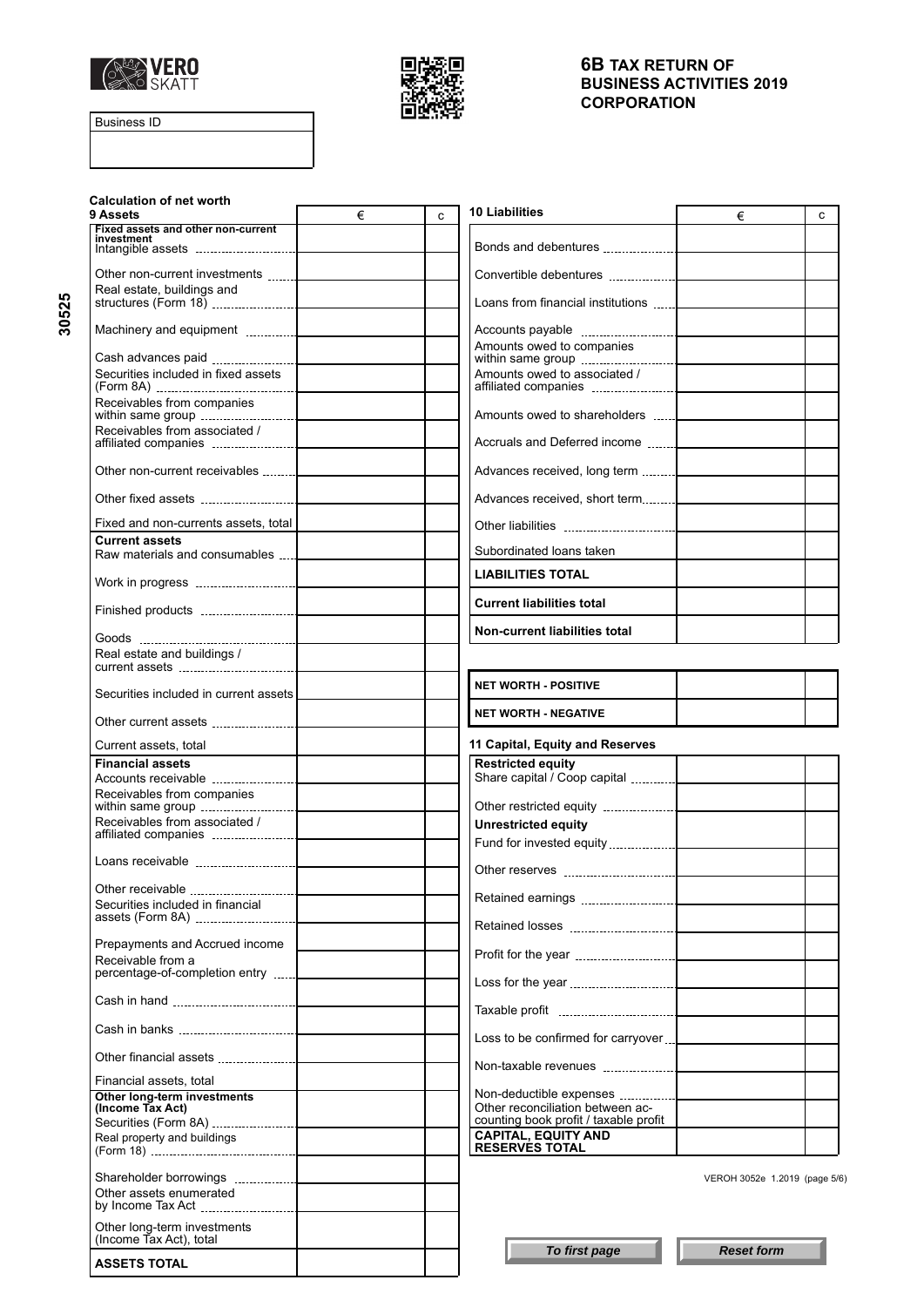



Business ID

**30525**

| <b>Calculation of net worth</b><br>9 Assets            | € | C | 10 Liabilities<br>€                                 | C |
|--------------------------------------------------------|---|---|-----------------------------------------------------|---|
| Fixed assets and other non-current<br>investment       |   |   |                                                     |   |
|                                                        |   |   |                                                     |   |
| Real estate, buildings and                             |   |   | Loans from financial institutions                   |   |
|                                                        |   |   |                                                     |   |
|                                                        |   |   | Amounts owed to companies                           |   |
| Securities included in fixed assets                    |   |   | Amounts owed to associated /                        |   |
| Receivables from companies                             |   |   | Amounts owed to shareholders                        |   |
| Receivables from associated /                          |   |   |                                                     |   |
| Other non-current receivables                          |   |   |                                                     |   |
|                                                        |   |   |                                                     |   |
| Fixed and non-currents assets, total                   |   |   |                                                     |   |
| <b>Current assets</b>                                  |   |   |                                                     |   |
| Raw materials and consumables  [ Call Theorem 2014     |   |   | Subordinated loans taken                            |   |
|                                                        |   |   | LIABILITIES TOTAL                                   |   |
|                                                        |   |   | <b>Current liabilities total</b>                    |   |
|                                                        |   |   | Non-current liabilities total                       |   |
| Real estate and buildings /                            |   |   |                                                     |   |
| Securities included in current assets                  |   |   | <b>NET WORTH - POSITIVE</b>                         |   |
|                                                        |   |   | <b>NET WORTH - NEGATIVE</b>                         |   |
| Current assets, total                                  |   |   | 11 Capital, Equity and Reserves                     |   |
| <b>Financial assets</b>                                |   |   | <b>Restricted equity</b>                            |   |
|                                                        |   |   |                                                     |   |
| Receivables from companies                             |   |   |                                                     |   |
| Receivables from associated /                          |   |   | <b>Unrestricted equity</b>                          |   |
|                                                        |   |   |                                                     |   |
|                                                        |   |   |                                                     |   |
| Other receivable                                       |   |   |                                                     |   |
| Securities included in financial                       |   |   |                                                     |   |
| Prepayments and Accrued income                         |   |   |                                                     |   |
| Receivable from a                                      |   |   |                                                     |   |
| percentage-of-completion entry                         |   |   |                                                     |   |
|                                                        |   |   |                                                     |   |
|                                                        |   |   | Loss to be confirmed for carryover                  |   |
|                                                        |   |   |                                                     |   |
| Financial assets, total<br>Other long-term investments |   |   | Non-deductible expenses                             |   |
| (Income Tax Act)                                       |   |   | Other reconciliation between ac-                    |   |
|                                                        |   |   | counting book profit / taxable profit               |   |
| Real property and buildings                            |   |   | <b>CAPITAL, EQUITY AND</b><br><b>RESERVES TOTAL</b> |   |
|                                                        |   |   |                                                     |   |
| Other assets enumerated                                |   |   | VEROH 3052e 1.2019 (page 5/6)                       |   |
| Other long-term investments                            |   |   |                                                     |   |
| (Income Tax Act), total                                |   |   | To first page<br><b>Reset form</b>                  |   |
| <b>ASSETS TOTAL</b>                                    |   |   |                                                     |   |